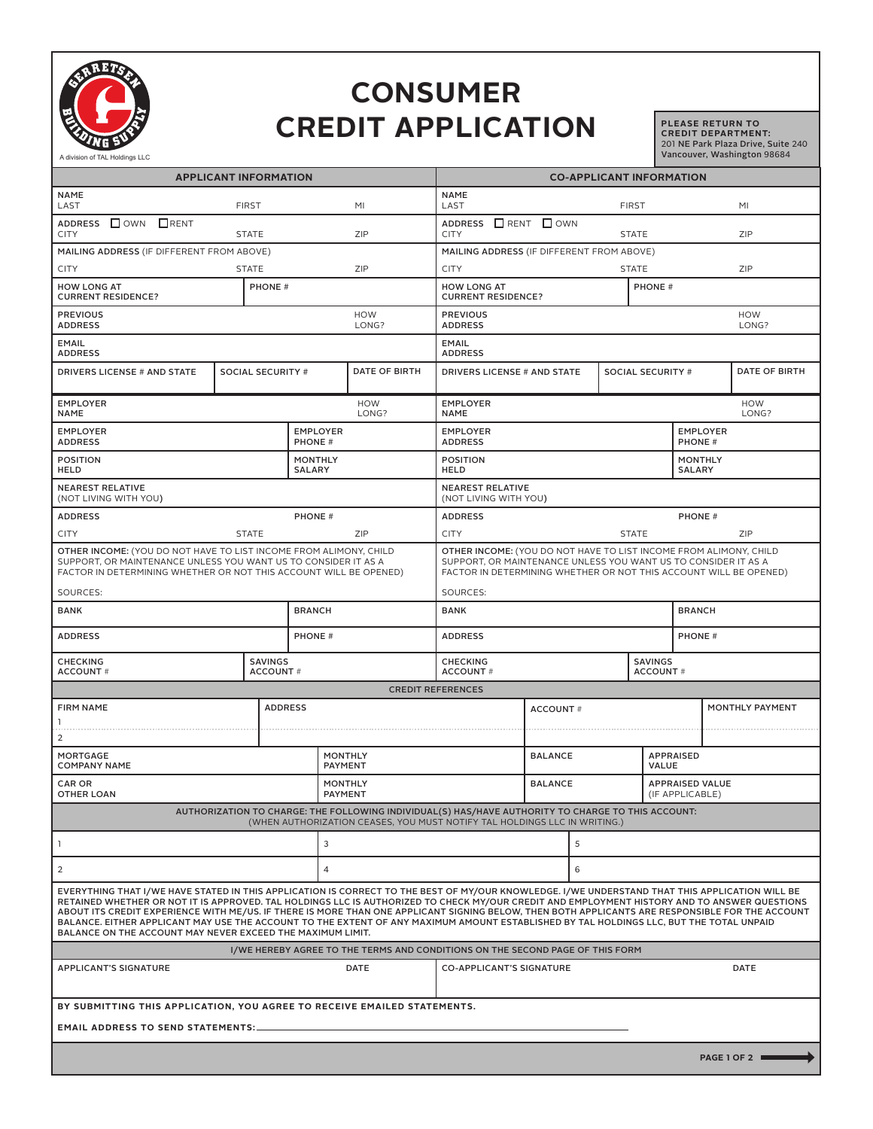

## **CONSUMER CREDIT APPLICATION**

**PLEASE RETURN TO CREDIT DEPARTMENT:**  201 NE Park Plaza Drive, Suite 240 Vancouver, Washington 98684

| <b>APPLICANT INFORMATION</b>                                                                                                                                                                                                                                                                                                                                                                                                                                                                                                                                                                                                                               |                          |                                 |                                  | <b>CO-APPLICANT INFORMATION</b>                                                                                                                                                                          |                                                |   |                                           |                                  |               |  |
|------------------------------------------------------------------------------------------------------------------------------------------------------------------------------------------------------------------------------------------------------------------------------------------------------------------------------------------------------------------------------------------------------------------------------------------------------------------------------------------------------------------------------------------------------------------------------------------------------------------------------------------------------------|--------------------------|---------------------------------|----------------------------------|----------------------------------------------------------------------------------------------------------------------------------------------------------------------------------------------------------|------------------------------------------------|---|-------------------------------------------|----------------------------------|---------------|--|
| <b>NAME</b><br>LAST<br><b>FIRST</b>                                                                                                                                                                                                                                                                                                                                                                                                                                                                                                                                                                                                                        |                          |                                 | <b>NAME</b><br>MI<br>LAST        |                                                                                                                                                                                                          | <b>FIRST</b>                                   |   |                                           | MI                               |               |  |
| ADDRESS □ OWN □ RENT<br><b>CITY</b><br><b>STATE</b>                                                                                                                                                                                                                                                                                                                                                                                                                                                                                                                                                                                                        |                          |                                 | ZIP                              | ADDRESS □ RENT □ OWN<br><b>CITY</b><br><b>STATE</b>                                                                                                                                                      |                                                |   |                                           | ZIP                              |               |  |
| MAILING ADDRESS (IF DIFFERENT FROM ABOVE)                                                                                                                                                                                                                                                                                                                                                                                                                                                                                                                                                                                                                  |                          |                                 |                                  |                                                                                                                                                                                                          | MAILING ADDRESS (IF DIFFERENT FROM ABOVE)      |   |                                           |                                  |               |  |
| <b>CITY</b><br><b>STATE</b>                                                                                                                                                                                                                                                                                                                                                                                                                                                                                                                                                                                                                                |                          |                                 | ZIP                              |                                                                                                                                                                                                          | <b>CITY</b><br><b>STATE</b>                    |   |                                           |                                  | ZIP           |  |
| <b>HOW LONG AT</b><br>PHONE #<br><b>CURRENT RESIDENCE?</b>                                                                                                                                                                                                                                                                                                                                                                                                                                                                                                                                                                                                 |                          |                                 |                                  | <b>HOW LONG AT</b><br><b>PHONE#</b><br><b>CURRENT RESIDENCE?</b>                                                                                                                                         |                                                |   |                                           |                                  |               |  |
| <b>PREVIOUS</b><br><b>HOW</b><br><b>ADDRESS</b><br>LONG?                                                                                                                                                                                                                                                                                                                                                                                                                                                                                                                                                                                                   |                          |                                 |                                  | <b>PREVIOUS</b><br><b>HOW</b><br><b>ADDRESS</b><br>LONG?                                                                                                                                                 |                                                |   |                                           |                                  |               |  |
| <b>EMAIL</b><br><b>ADDRESS</b>                                                                                                                                                                                                                                                                                                                                                                                                                                                                                                                                                                                                                             |                          |                                 |                                  | <b>EMAIL</b><br><b>ADDRESS</b>                                                                                                                                                                           |                                                |   |                                           |                                  |               |  |
| <b>DRIVERS LICENSE # AND STATE</b>                                                                                                                                                                                                                                                                                                                                                                                                                                                                                                                                                                                                                         | <b>SOCIAL SECURITY #</b> |                                 | <b>DATE OF BIRTH</b>             | <b>DRIVERS LICENSE # AND STATE</b><br><b>SOCIAL SECURITY #</b>                                                                                                                                           |                                                |   |                                           |                                  | DATE OF BIRTH |  |
| <b>EMPLOYER</b><br><b>HOW</b><br>LONG?<br><b>NAME</b>                                                                                                                                                                                                                                                                                                                                                                                                                                                                                                                                                                                                      |                          |                                 |                                  |                                                                                                                                                                                                          | <b>EMPLOYER</b><br>HOW<br>LONG?<br><b>NAME</b> |   |                                           |                                  |               |  |
| <b>EMPLOYER</b><br><b>ADDRESS</b>                                                                                                                                                                                                                                                                                                                                                                                                                                                                                                                                                                                                                          |                          | <b>EMPLOYER</b><br>PHONE #      |                                  | <b>EMPLOYER</b><br><b>ADDRESS</b>                                                                                                                                                                        |                                                |   |                                           | <b>EMPLOYER</b><br><b>PHONE#</b> |               |  |
| <b>POSITION</b><br><b>HELD</b>                                                                                                                                                                                                                                                                                                                                                                                                                                                                                                                                                                                                                             |                          | <b>MONTHLY</b><br><b>SALARY</b> |                                  | <b>POSITION</b><br><b>HELD</b>                                                                                                                                                                           |                                                |   |                                           | <b>MONTHLY</b><br><b>SALARY</b>  |               |  |
| <b>NEAREST RELATIVE</b><br>(NOT LIVING WITH YOU)                                                                                                                                                                                                                                                                                                                                                                                                                                                                                                                                                                                                           |                          |                                 |                                  | <b>NEAREST RELATIVE</b><br>(NOT LIVING WITH YOU)                                                                                                                                                         |                                                |   |                                           |                                  |               |  |
| <b>ADDRESS</b>                                                                                                                                                                                                                                                                                                                                                                                                                                                                                                                                                                                                                                             |                          |                                 | <b>PHONE#</b>                    |                                                                                                                                                                                                          | <b>ADDRESS</b>                                 |   |                                           | <b>PHONE#</b>                    |               |  |
| <b>CITY</b><br><b>STATE</b>                                                                                                                                                                                                                                                                                                                                                                                                                                                                                                                                                                                                                                |                          |                                 | ZIP                              |                                                                                                                                                                                                          | <b>CITY</b><br><b>STATE</b>                    |   |                                           | ZIP                              |               |  |
| OTHER INCOME: (YOU DO NOT HAVE TO LIST INCOME FROM ALIMONY, CHILD<br>SUPPORT, OR MAINTENANCE UNLESS YOU WANT US TO CONSIDER IT AS A<br>FACTOR IN DETERMINING WHETHER OR NOT THIS ACCOUNT WILL BE OPENED)                                                                                                                                                                                                                                                                                                                                                                                                                                                   |                          |                                 |                                  | OTHER INCOME: (YOU DO NOT HAVE TO LIST INCOME FROM ALIMONY, CHILD<br>SUPPORT, OR MAINTENANCE UNLESS YOU WANT US TO CONSIDER IT AS A<br>FACTOR IN DETERMINING WHETHER OR NOT THIS ACCOUNT WILL BE OPENED) |                                                |   |                                           |                                  |               |  |
| SOURCES:                                                                                                                                                                                                                                                                                                                                                                                                                                                                                                                                                                                                                                                   |                          |                                 |                                  | SOURCES:                                                                                                                                                                                                 |                                                |   |                                           |                                  |               |  |
| BANK                                                                                                                                                                                                                                                                                                                                                                                                                                                                                                                                                                                                                                                       |                          |                                 | <b>BRANCH</b>                    |                                                                                                                                                                                                          | <b>BANK</b>                                    |   |                                           | <b>BRANCH</b>                    |               |  |
| <b>ADDRESS</b>                                                                                                                                                                                                                                                                                                                                                                                                                                                                                                                                                                                                                                             |                          |                                 | <b>PHONE#</b>                    |                                                                                                                                                                                                          | <b>ADDRESS</b>                                 |   |                                           | <b>PHONE#</b>                    |               |  |
| <b>SAVINGS</b><br><b>CHECKING</b><br><b>ACCOUNT#</b><br><b>ACCOUNT#</b>                                                                                                                                                                                                                                                                                                                                                                                                                                                                                                                                                                                    |                          |                                 |                                  |                                                                                                                                                                                                          | <b>CHECKING</b><br><b>ACCOUNT#</b>             |   | <b>SAVINGS</b><br><b>ACCOUNT#</b>         |                                  |               |  |
| <b>CREDIT REFERENCES</b>                                                                                                                                                                                                                                                                                                                                                                                                                                                                                                                                                                                                                                   |                          |                                 |                                  |                                                                                                                                                                                                          |                                                |   |                                           |                                  |               |  |
| <b>ADDRESS</b><br><b>FIRM NAME</b><br>1                                                                                                                                                                                                                                                                                                                                                                                                                                                                                                                                                                                                                    |                          |                                 |                                  | <b>ACCOUNT#</b>                                                                                                                                                                                          |                                                |   |                                           | MONTHLY PAYMENT                  |               |  |
| $\overline{2}$                                                                                                                                                                                                                                                                                                                                                                                                                                                                                                                                                                                                                                             |                          |                                 |                                  |                                                                                                                                                                                                          |                                                |   |                                           |                                  |               |  |
| MORTGAGE<br><b>COMPANY NAME</b>                                                                                                                                                                                                                                                                                                                                                                                                                                                                                                                                                                                                                            |                          |                                 | <b>MONTHLY</b><br><b>PAYMENT</b> |                                                                                                                                                                                                          | <b>BALANCE</b>                                 |   | <b>APPRAISED</b><br>VALUE                 |                                  |               |  |
| <b>CAR OR</b><br><b>OTHER LOAN</b>                                                                                                                                                                                                                                                                                                                                                                                                                                                                                                                                                                                                                         |                          |                                 | <b>MONTHLY</b><br><b>PAYMENT</b> |                                                                                                                                                                                                          | <b>BALANCE</b>                                 |   | <b>APPRAISED VALUE</b><br>(IF APPLICABLE) |                                  |               |  |
| AUTHORIZATION TO CHARGE: THE FOLLOWING INDIVIDUAL(S) HAS/HAVE AUTHORITY TO CHARGE TO THIS ACCOUNT:<br>(WHEN AUTHORIZATION CEASES, YOU MUST NOTIFY TAL HOLDINGS LLC IN WRITING.)                                                                                                                                                                                                                                                                                                                                                                                                                                                                            |                          |                                 |                                  |                                                                                                                                                                                                          |                                                |   |                                           |                                  |               |  |
| 3<br>-1                                                                                                                                                                                                                                                                                                                                                                                                                                                                                                                                                                                                                                                    |                          |                                 |                                  |                                                                                                                                                                                                          | 5                                              |   |                                           |                                  |               |  |
| $\overline{2}$                                                                                                                                                                                                                                                                                                                                                                                                                                                                                                                                                                                                                                             |                          |                                 | $\overline{4}$                   |                                                                                                                                                                                                          |                                                | 6 |                                           |                                  |               |  |
| EVERYTHING THAT I/WE HAVE STATED IN THIS APPLICATION IS CORRECT TO THE BEST OF MY/OUR KNOWLEDGE. I/WE UNDERSTAND THAT THIS APPLICATION WILL BE<br>RETAINED WHETHER OR NOT IT IS APPROVED. TAL HOLDINGS LLC IS AUTHORIZED TO CHECK MY/OUR CREDIT AND EMPLOYMENT HISTORY AND TO ANSWER QUESTIONS<br>ABOUT ITS CREDIT EXPERIENCE WITH ME/US. IF THERE IS MORE THAN ONE APPLICANT SIGNING BELOW, THEN BOTH APPLICANTS ARE RESPONSIBLE FOR THE ACCOUNT<br>BALANCE. EITHER APPLICANT MAY USE THE ACCOUNT TO THE EXTENT OF ANY MAXIMUM AMOUNT ESTABLISHED BY TAL HOLDINGS LLC, BUT THE TOTAL UNPAID<br>BALANCE ON THE ACCOUNT MAY NEVER EXCEED THE MAXIMUM LIMIT. |                          |                                 |                                  |                                                                                                                                                                                                          |                                                |   |                                           |                                  |               |  |
| I/WE HEREBY AGREE TO THE TERMS AND CONDITIONS ON THE SECOND PAGE OF THIS FORM                                                                                                                                                                                                                                                                                                                                                                                                                                                                                                                                                                              |                          |                                 |                                  |                                                                                                                                                                                                          |                                                |   |                                           |                                  |               |  |
| <b>APPLICANT'S SIGNATURE</b><br><b>DATE</b>                                                                                                                                                                                                                                                                                                                                                                                                                                                                                                                                                                                                                |                          |                                 |                                  | <b>CO-APPLICANT'S SIGNATURE</b><br><b>DATE</b>                                                                                                                                                           |                                                |   |                                           |                                  |               |  |
| BY SUBMITTING THIS APPLICATION, YOU AGREE TO RECEIVE EMAILED STATEMENTS.                                                                                                                                                                                                                                                                                                                                                                                                                                                                                                                                                                                   |                          |                                 |                                  |                                                                                                                                                                                                          |                                                |   |                                           |                                  |               |  |
| <b>EMAIL ADDRESS TO SEND STATEMENTS:_</b>                                                                                                                                                                                                                                                                                                                                                                                                                                                                                                                                                                                                                  |                          |                                 |                                  |                                                                                                                                                                                                          |                                                |   |                                           |                                  |               |  |
| PAGE 1 OF 2                                                                                                                                                                                                                                                                                                                                                                                                                                                                                                                                                                                                                                                |                          |                                 |                                  |                                                                                                                                                                                                          |                                                |   |                                           |                                  |               |  |